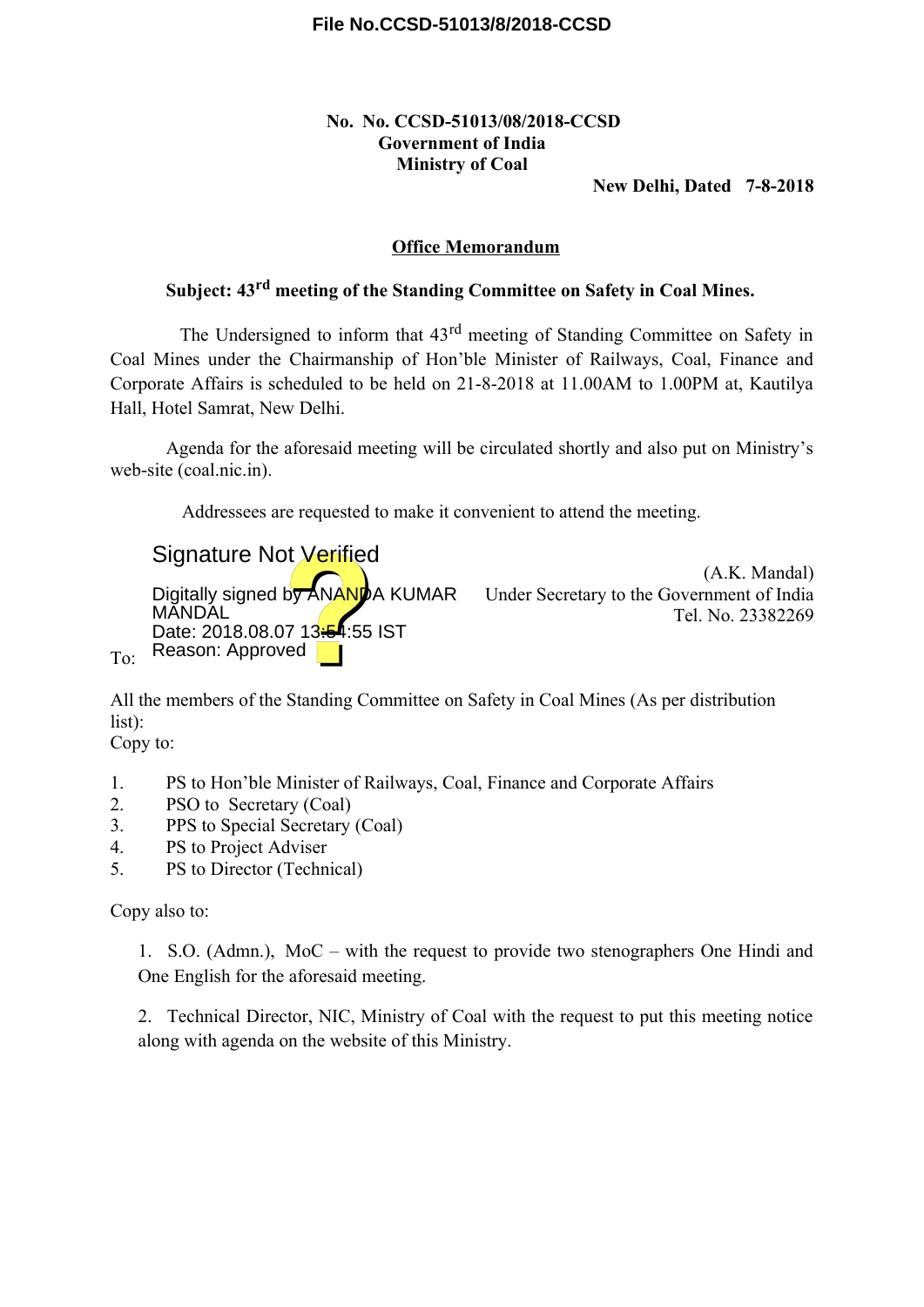# **File No.CCSD-51013/8/2018-CCSD**

# **No. No. CCSD-51013/08/2018-CCSD Government of India Ministry of Coal**

**New Delhi, Dated 7-8-2018**

### **Office Memorandum**

# **Subject: 43rd meeting of the Standing Committee on Safety in Coal Mines.**

The Undersigned to inform that 43rd meeting of Standing Committee on Safety in Coal Mines under the Chairmanship of Hon'ble Minister of Railways, Coal, Finance and Corporate Affairs is scheduled to be held on 21-8-2018 at 11.00AM to 1.00PM at, Kautilya Hall, Hotel Samrat, New Delhi.

Agenda for the aforesaid meeting will be circulated shortly and also put on Ministry's web-site (coal.nic.in).

Addressees are requested to make it convenient to attend the meeting.

Signature Not Verified

**MĂNDAL** Date: 2018.08.07 13:54:55 IST Reason: Approved

(A.K. Mandal) Digitally signed by ANANDA KUMAR Under Secretary to the Government of India Tel. No. 23382269

All the members of the Standing Committee on Safety in Coal Mines (As per distribution list):

Copy to:

To:

- 1. PS to Hon'ble Minister of Railways, Coal, Finance and Corporate Affairs
- 2. PSO to Secretary (Coal)
- 3. PPS to Special Secretary (Coal)
- 4. PS to Project Adviser
- 5. PS to Director (Technical)

Copy also to:

1. S.O. (Admn.), MoC – with the request to provide two stenographers One Hindi and One English for the aforesaid meeting.

2. Technical Director, NIC, Ministry of Coal with the request to put this meeting notice along with agenda on the website of this Ministry.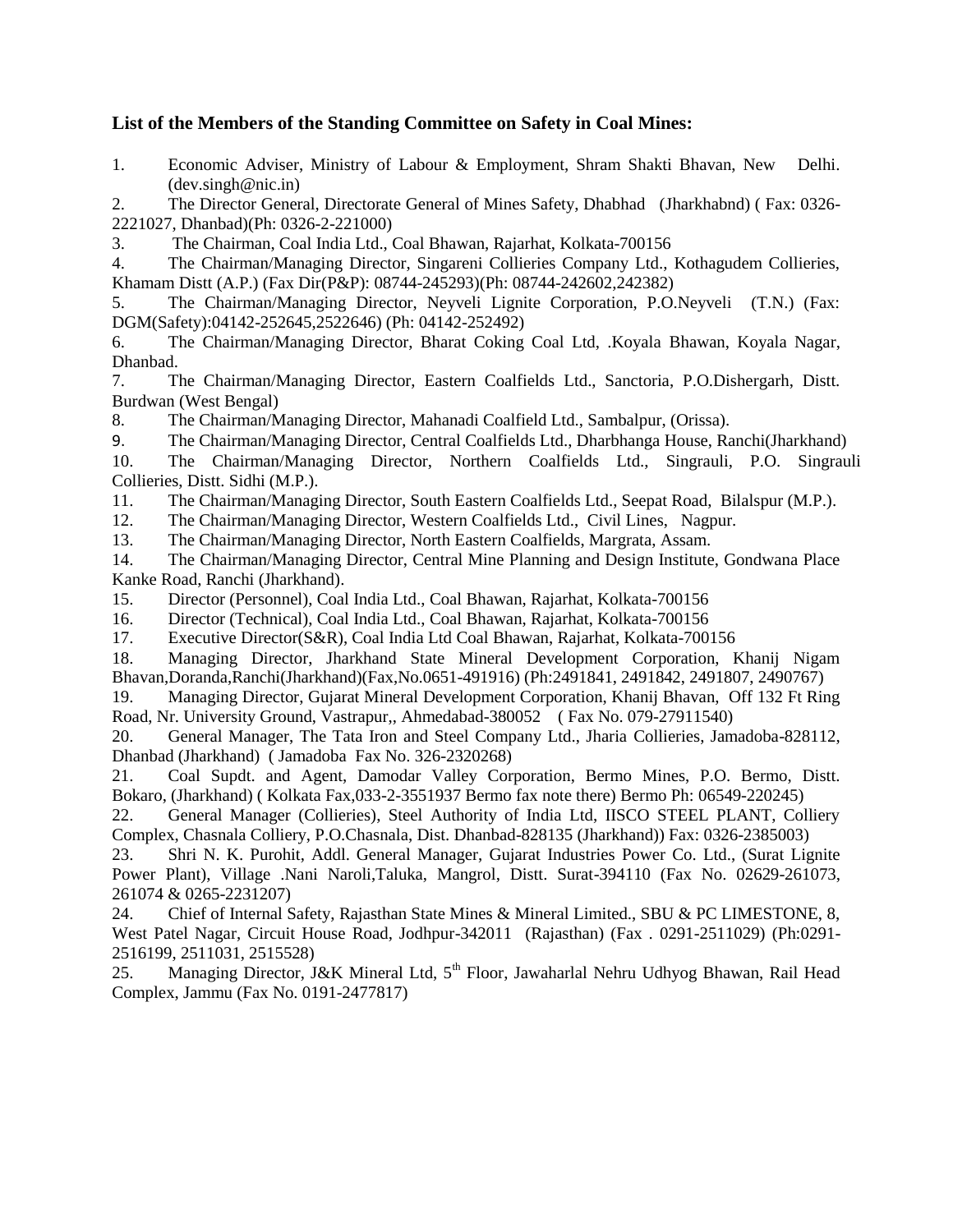## **List of the Members of the Standing Committee on Safety in Coal Mines:**

1. Economic Adviser, Ministry of Labour & Employment, Shram Shakti Bhavan, New Delhi. (dev.singh@nic.in)

2. The Director General, Directorate General of Mines Safety, Dhabhad (Jharkhabnd) ( Fax: 0326- 2221027, Dhanbad)(Ph: 0326-2-221000)

3. The Chairman, Coal India Ltd., Coal Bhawan, Rajarhat, Kolkata-700156

4. The Chairman/Managing Director, Singareni Collieries Company Ltd., Kothagudem Collieries, Khamam Distt (A.P.) (Fax Dir(P&P): 08744-245293)(Ph: 08744-242602,242382)

5. The Chairman/Managing Director, Neyveli Lignite Corporation, P.O.Neyveli (T.N.) (Fax: DGM(Safety):04142-252645,2522646) (Ph: 04142-252492)

6. The Chairman/Managing Director, Bharat Coking Coal Ltd, .Koyala Bhawan, Koyala Nagar, Dhanbad.

7. The Chairman/Managing Director, Eastern Coalfields Ltd., Sanctoria, P.O.Dishergarh, Distt. Burdwan (West Bengal)

8. The Chairman/Managing Director, Mahanadi Coalfield Ltd., Sambalpur, (Orissa).

9. The Chairman/Managing Director, Central Coalfields Ltd., Dharbhanga House, Ranchi(Jharkhand)

10. The Chairman/Managing Director, Northern Coalfields Ltd., Singrauli, P.O. Singrauli Collieries, Distt. Sidhi (M.P.).

11. The Chairman/Managing Director, South Eastern Coalfields Ltd., Seepat Road, Bilalspur (M.P.).

12. The Chairman/Managing Director, Western Coalfields Ltd., Civil Lines, Nagpur.

13. The Chairman/Managing Director, North Eastern Coalfields, Margrata, Assam.

14. The Chairman/Managing Director, Central Mine Planning and Design Institute, Gondwana Place Kanke Road, Ranchi (Jharkhand).

15. Director (Personnel), Coal India Ltd., Coal Bhawan, Rajarhat, Kolkata-700156

16. Director (Technical), Coal India Ltd., Coal Bhawan, Rajarhat, Kolkata-700156

17. Executive Director(S&R), Coal India Ltd Coal Bhawan, Rajarhat, Kolkata-700156

18. Managing Director, Jharkhand State Mineral Development Corporation, Khanij Nigam Bhavan,Doranda,Ranchi(Jharkhand)(Fax,No.0651-491916) (Ph:2491841, 2491842, 2491807, 2490767)

19. Managing Director, Gujarat Mineral Development Corporation, Khanij Bhavan, Off 132 Ft Ring Road, Nr. University Ground, Vastrapur,, Ahmedabad-380052 ( Fax No. 079-27911540)

20. General Manager, The Tata Iron and Steel Company Ltd., Jharia Collieries, Jamadoba-828112, Dhanbad (Jharkhand) ( Jamadoba Fax No. 326-2320268)

21. Coal Supdt. and Agent, Damodar Valley Corporation, Bermo Mines, P.O. Bermo, Distt. Bokaro, (Jharkhand) ( Kolkata Fax,033-2-3551937 Bermo fax note there) Bermo Ph: 06549-220245)

22. General Manager (Collieries), Steel Authority of India Ltd, IISCO STEEL PLANT, Colliery Complex, Chasnala Colliery, P.O.Chasnala, Dist. Dhanbad-828135 (Jharkhand)) Fax: 0326-2385003)

23. Shri N. K. Purohit, Addl. General Manager, Gujarat Industries Power Co. Ltd., (Surat Lignite Power Plant), Village .Nani Naroli,Taluka, Mangrol, Distt. Surat-394110 (Fax No. 02629-261073, 261074 & 0265-2231207)

24. Chief of Internal Safety, Rajasthan State Mines & Mineral Limited., SBU & PC LIMESTONE, 8, West Patel Nagar, Circuit House Road, Jodhpur-342011 (Rajasthan) (Fax . 0291-2511029) (Ph:0291- 2516199, 2511031, 2515528)

25. Managing Director, J&K Mineral Ltd, 5<sup>th</sup> Floor, Jawaharlal Nehru Udhyog Bhawan, Rail Head Complex, Jammu (Fax No. 0191-2477817)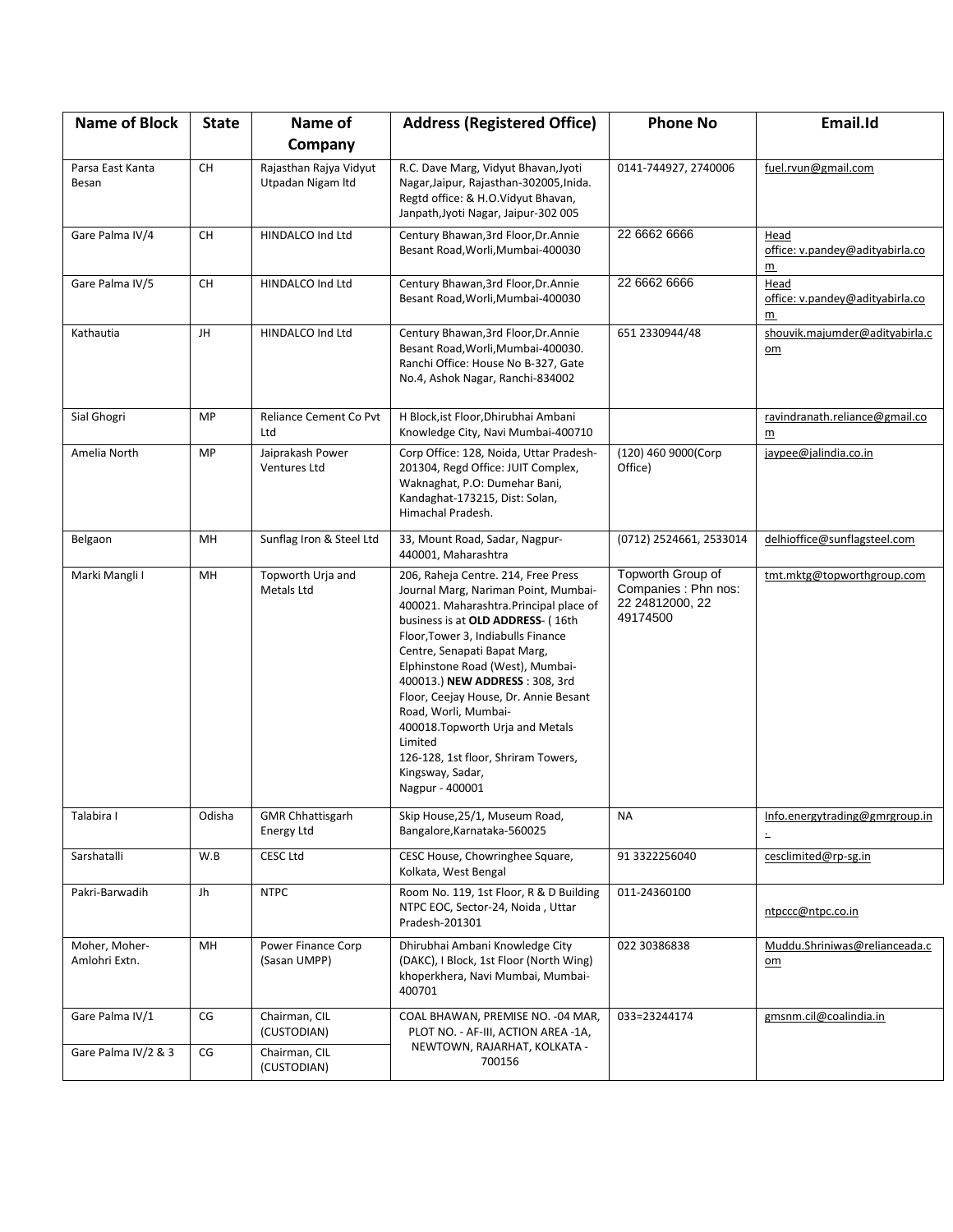| <b>Name of Block</b>           | <b>State</b> | Name of                                     | <b>Address (Registered Office)</b>                                                                                                                                                                                                                                                                                                                                                                                                                                                                   | <b>Phone No</b>                                                         | Email.Id                                                   |
|--------------------------------|--------------|---------------------------------------------|------------------------------------------------------------------------------------------------------------------------------------------------------------------------------------------------------------------------------------------------------------------------------------------------------------------------------------------------------------------------------------------------------------------------------------------------------------------------------------------------------|-------------------------------------------------------------------------|------------------------------------------------------------|
|                                |              | Company                                     |                                                                                                                                                                                                                                                                                                                                                                                                                                                                                                      |                                                                         |                                                            |
| Parsa East Kanta<br>Besan      | <b>CH</b>    | Rajasthan Rajya Vidyut<br>Utpadan Nigam Itd | R.C. Dave Marg, Vidyut Bhavan, Jyoti<br>Nagar, Jaipur, Rajasthan-302005, Inida.<br>Regtd office: & H.O. Vidyut Bhavan,<br>Janpath, Jyoti Nagar, Jaipur-302 005                                                                                                                                                                                                                                                                                                                                       | 0141-744927, 2740006                                                    | fuel.rvun@gmail.com                                        |
| Gare Palma IV/4                | <b>CH</b>    | HINDALCO Ind Ltd                            | Century Bhawan, 3rd Floor, Dr. Annie<br>Besant Road, Worli, Mumbai-400030                                                                                                                                                                                                                                                                                                                                                                                                                            | 22 6662 6666                                                            | Head<br>office: v.pandey@adityabirla.co<br>m               |
| Gare Palma IV/5                | <b>CH</b>    | HINDALCO Ind Ltd                            | Century Bhawan, 3rd Floor, Dr. Annie<br>Besant Road, Worli, Mumbai-400030                                                                                                                                                                                                                                                                                                                                                                                                                            | 22 6662 6666                                                            | Head<br>office: v.pandey@adityabirla.co<br>$\underline{m}$ |
| Kathautia                      | JH           | HINDALCO Ind Ltd                            | Century Bhawan, 3rd Floor, Dr. Annie<br>Besant Road, Worli, Mumbai-400030.<br>Ranchi Office: House No B-327, Gate<br>No.4, Ashok Nagar, Ranchi-834002                                                                                                                                                                                                                                                                                                                                                | 651 2330944/48                                                          | shouvik.majumder@adityabirla.c<br>$om$                     |
| Sial Ghogri                    | MP           | Reliance Cement Co Pvt<br>Ltd               | H Block, ist Floor, Dhirubhai Ambani<br>Knowledge City, Navi Mumbai-400710                                                                                                                                                                                                                                                                                                                                                                                                                           |                                                                         | ravindranath.reliance@gmail.co<br>$\underline{m}$          |
| Amelia North                   | MP           | Jaiprakash Power<br>Ventures Ltd            | Corp Office: 128, Noida, Uttar Pradesh-<br>201304, Regd Office: JUIT Complex,<br>Waknaghat, P.O: Dumehar Bani,<br>Kandaghat-173215, Dist: Solan,<br>Himachal Pradesh.                                                                                                                                                                                                                                                                                                                                | (120) 460 9000(Corp<br>Office)                                          | jaypee@jalindia.co.in                                      |
| Belgaon                        | MH           | Sunflag Iron & Steel Ltd                    | 33, Mount Road, Sadar, Nagpur-<br>440001, Maharashtra                                                                                                                                                                                                                                                                                                                                                                                                                                                | (0712) 2524661, 2533014                                                 | delhioffice@sunflagsteel.com                               |
| Marki Mangli I                 | MH           | Topworth Urja and<br>Metals Ltd             | 206, Raheja Centre. 214, Free Press<br>Journal Marg, Nariman Point, Mumbai-<br>400021. Maharashtra.Principal place of<br>business is at OLD ADDRESS- (16th<br>Floor, Tower 3, Indiabulls Finance<br>Centre, Senapati Bapat Marg,<br>Elphinstone Road (West), Mumbai-<br>400013.) NEW ADDRESS: 308, 3rd<br>Floor, Ceejay House, Dr. Annie Besant<br>Road, Worli, Mumbai-<br>400018. Topworth Urja and Metals<br>Limited<br>126-128, 1st floor, Shriram Towers,<br>Kingsway, Sadar,<br>Nagpur - 400001 | Topworth Group of<br>Companies: Phn nos:<br>22 24812000, 22<br>49174500 | tmt.mktg@topworthgroup.com                                 |
| Talabira I                     | Odisha       | <b>GMR Chhattisgarh</b><br>Energy Ltd       | Skip House, 25/1, Museum Road,<br>Bangalore, Karnataka-560025                                                                                                                                                                                                                                                                                                                                                                                                                                        | <b>NA</b>                                                               | Info.energytrading@gmrgroup.in<br>$\overline{\phantom{a}}$ |
| Sarshatalli                    | W.B          | <b>CESC Ltd</b>                             | CESC House, Chowringhee Square,<br>Kolkata, West Bengal                                                                                                                                                                                                                                                                                                                                                                                                                                              | 91 3322256040                                                           | cesclimited@rp-sg.in                                       |
| Pakri-Barwadih                 | Jh           | <b>NTPC</b>                                 | Room No. 119, 1st Floor, R & D Building<br>NTPC EOC, Sector-24, Noida, Uttar<br>Pradesh-201301                                                                                                                                                                                                                                                                                                                                                                                                       | 011-24360100                                                            | ntpccc@ntpc.co.in                                          |
| Moher, Moher-<br>Amlohri Extn. | MH           | Power Finance Corp<br>(Sasan UMPP)          | Dhirubhai Ambani Knowledge City<br>(DAKC), I Block, 1st Floor (North Wing)<br>khoperkhera, Navi Mumbai, Mumbai-<br>400701                                                                                                                                                                                                                                                                                                                                                                            | 022 30386838                                                            | Muddu.Shriniwas@relianceada.c<br>$om$                      |
| Gare Palma IV/1                | CG           | Chairman, CIL<br>(CUSTODIAN)                | COAL BHAWAN, PREMISE NO. - 04 MAR,<br>PLOT NO. - AF-III, ACTION AREA -1A,                                                                                                                                                                                                                                                                                                                                                                                                                            | 033=23244174                                                            | gmsnm.cil@coalindia.in                                     |
| Gare Palma IV/2 & 3            | CG           | Chairman, CIL<br>(CUSTODIAN)                | NEWTOWN, RAJARHAT, KOLKATA -<br>700156                                                                                                                                                                                                                                                                                                                                                                                                                                                               |                                                                         |                                                            |